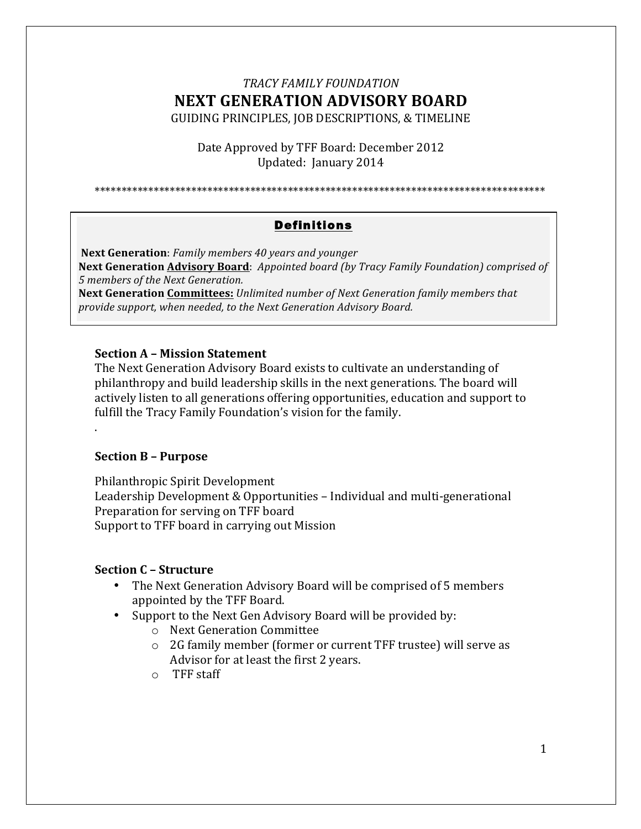# *TRACY FAMILY FOUNDATION* **NEXT GENERATION ADVISORY BOARD** GUIDING PRINCIPLES, JOB DESCRIPTIONS, & TIMELINE

Date Approved by TFF Board: December 2012 Updated: January 2014

\*\*\*\*\*\*\*\*\*\*\*\*\*\*\*\*\*\*\*\*\*\*\*\*\*\*\*\*\*\*\*\*\*\*\*\*\*\*\*\*\*\*\*\*\*\*\*\*\*\*\*\*\*\*\*\*\*\*\*\*\*\*\*\*\*\*\*\*\*\*\*\*\*\*\*\*\*\*\*\*\*\*\*\*

# Definitions

**Next Generation Advisory Board**: Appointed board (by Tracy Family Foundation) comprised of **Next Generation**: *Family members* 40 years and younger *5 members of the Next Generation.*

**Next Generation Committees:** *Unlimited number of Next Generation family members that provide support, when needed, to the Next Generation Advisory Board.* 

#### **Section A – Mission Statement**

The Next Generation Advisory Board exists to cultivate an understanding of philanthropy and build leadership skills in the next generations. The board will actively listen to all generations offering opportunities, education and support to fulfill the Tracy Family Foundation's vision for the family.

#### **Section B – Purpose**

.

Philanthropic Spirit Development Leadership Development & Opportunities - Individual and multi-generational Preparation for serving on TFF board Support to TFF board in carrying out Mission

#### **Section C – Structure**

- The Next Generation Advisory Board will be comprised of 5 members appointed by the TFF Board.
- Support to the Next Gen Advisory Board will be provided by:
	- o Next Generation Committee
	- $\circ$  2G family member (former or current TFF trustee) will serve as Advisor for at least the first 2 years.
	- $O$  TFF staff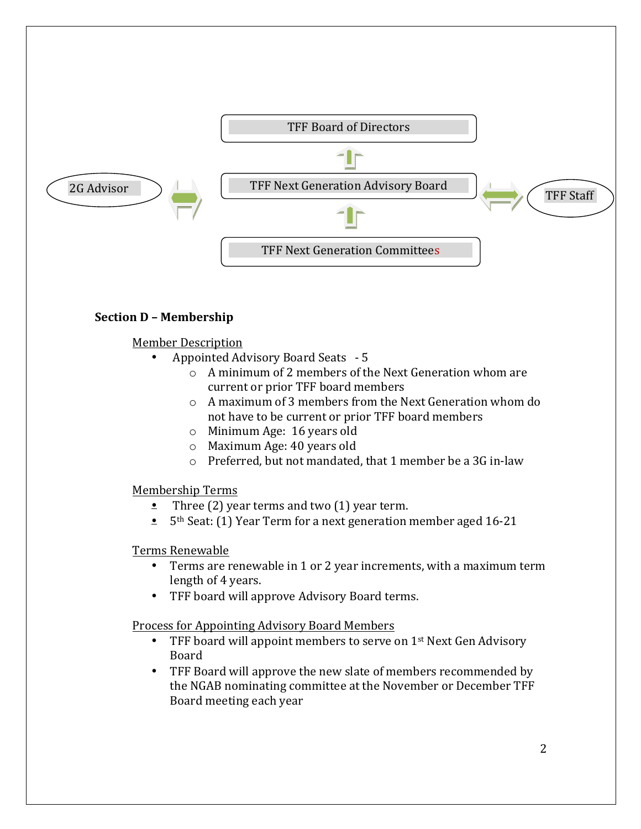

## **Section D – Membership**

Member Description

- Appointed Advisory Board Seats 5
	- $\circ$  A minimum of 2 members of the Next Generation whom are current or prior TFF board members
	- $\circ$  A maximum of 3 members from the Next Generation whom do not have to be current or prior TFF board members
	- o Minimum Age: 16 years old
	- $\circ$  Maximum Age: 40 years old
	- $\circ$  Preferred, but not mandated, that 1 member be a 3G in-law

Membership Terms

- Three (2) year terms and two (1) year term.
- $\bullet$  5<sup>th</sup> Seat: (1) Year Term for a next generation member aged 16-21

Terms Renewable

- Terms are renewable in 1 or 2 year increments, with a maximum term length of 4 years.
- TFF board will approve Advisory Board terms.

Process for Appointing Advisory Board Members

- TFF board will appoint members to serve on  $1<sup>st</sup>$  Next Gen Advisory Board
- TFF Board will approve the new slate of members recommended by the NGAB nominating committee at the November or December TFF Board meeting each year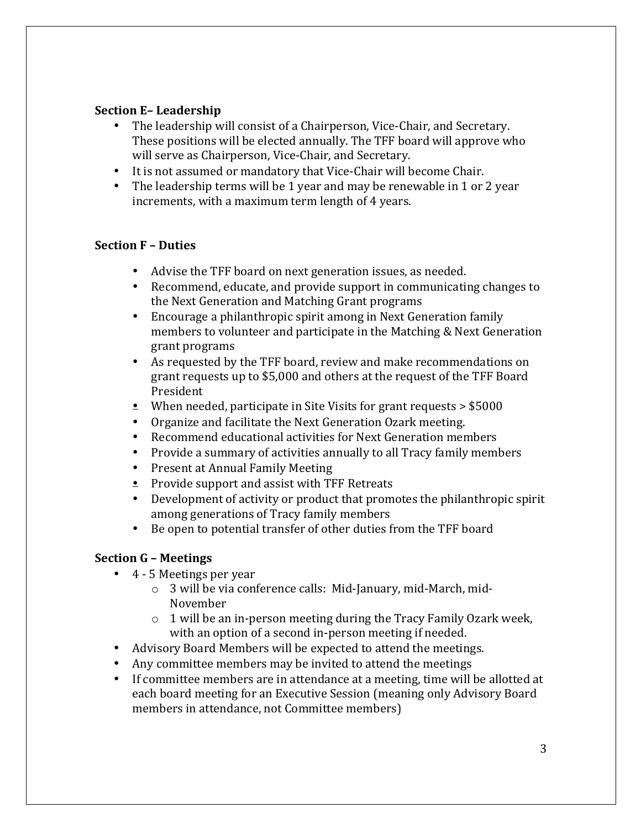## **Section E-Leadership**

- The leadership will consist of a Chairperson, Vice-Chair, and Secretary. These positions will be elected annually. The TFF board will approve who will serve as Chairperson, Vice-Chair, and Secretary.
- It is not assumed or mandatory that Vice-Chair will become Chair.
- The leadership terms will be 1 year and may be renewable in 1 or 2 year increments, with a maximum term length of 4 years.

## **Section F – Duties**

- Advise the TFF board on next generation issues, as needed.
- Recommend, educate, and provide support in communicating changes to the Next Generation and Matching Grant programs
- Encourage a philanthropic spirit among in Next Generation family members to volunteer and participate in the Matching & Next Generation grant programs
- As requested by the TFF board, review and make recommendations on grant requests up to \$5,000 and others at the request of the TFF Board President
- When needed, participate in Site Visits for grant requests  $>$  \$5000
- Organize and facilitate the Next Generation Ozark meeting.
- Recommend educational activities for Next Generation members
- Provide a summary of activities annually to all Tracy family members
- Present at Annual Family Meeting
- Provide support and assist with TFF Retreats
- Development of activity or product that promotes the philanthropic spirit among generations of Tracy family members
- Be open to potential transfer of other duties from the TFF board

# **Section G – Meetings**

- $\bullet$  4 5 Meetings per year
	- $\circ$  3 will be via conference calls: Mid-January, mid-March, mid-November
	- $\circ$  1 will be an in-person meeting during the Tracy Family Ozark week, with an option of a second in-person meeting if needed.
- Advisory Board Members will be expected to attend the meetings.
- Any committee members may be invited to attend the meetings
- If committee members are in attendance at a meeting, time will be allotted at each board meeting for an Executive Session (meaning only Advisory Board members in attendance, not Committee members)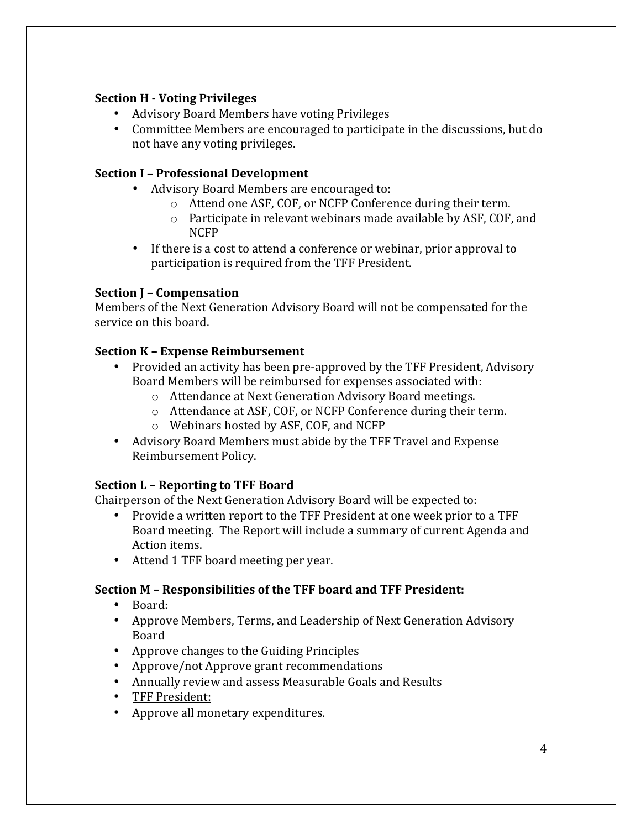## **Section H - Voting Privileges**

- Advisory Board Members have voting Privileges
- Committee Members are encouraged to participate in the discussions, but do not have any voting privileges.

## **Section I - Professional Development**

- Advisory Board Members are encouraged to:
	- $\circ$  Attend one ASF, COF, or NCFP Conference during their term.
	- $\circ$  Participate in relevant webinars made available by ASF, COF, and NCFP
- If there is a cost to attend a conference or webinar, prior approval to participation is required from the TFF President.

## **Section J – Compensation**

Members of the Next Generation Advisory Board will not be compensated for the service on this board.

## **Section K – Expense Reimbursement**

- Provided an activity has been pre-approved by the TFF President, Advisory Board Members will be reimbursed for expenses associated with:
	- o Attendance at Next Generation Advisory Board meetings.
	- $\circ$  Attendance at ASF, COF, or NCFP Conference during their term.
	- o Webinars hosted by ASF, COF, and NCFP
- Advisory Board Members must abide by the TFF Travel and Expense Reimbursement Policy.

# **Section L - Reporting to TFF Board**

Chairperson of the Next Generation Advisory Board will be expected to:

- Provide a written report to the TFF President at one week prior to a TFF Board meeting. The Report will include a summary of current Agenda and Action items.
- Attend 1 TFF board meeting per year.

# **Section M – Responsibilities of the TFF board and TFF President:**

- Board:
- Approve Members, Terms, and Leadership of Next Generation Advisory Board
- Approve changes to the Guiding Principles
- Approve/not Approve grant recommendations
- Annually review and assess Measurable Goals and Results
- TFF President:
- Approve all monetary expenditures.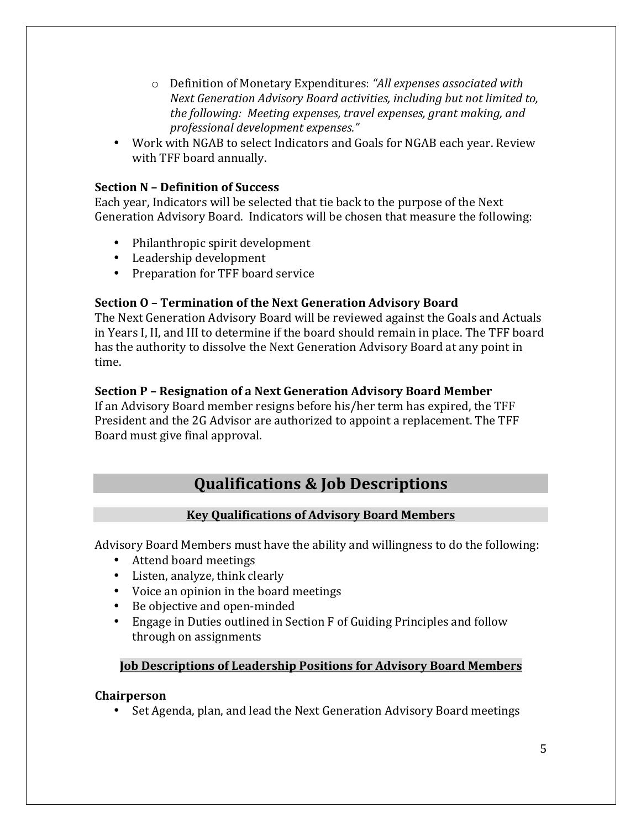- o Definition of Monetary Expenditures: *"All expenses associated with Next Generation Advisory Board activities, including but not limited to, the following: Meeting expenses, travel expenses, grant making, and professional development expenses."*
- Work with NGAB to select Indicators and Goals for NGAB each year. Review with TFF board annually.

## **Section N - Definition of Success**

Each year, Indicators will be selected that tie back to the purpose of the Next Generation Advisory Board. Indicators will be chosen that measure the following:

- Philanthropic spirit development
- Leadership development
- Preparation for TFF board service

## **Section O - Termination of the Next Generation Advisory Board**

The Next Generation Advisory Board will be reviewed against the Goals and Actuals in Years I, II, and III to determine if the board should remain in place. The TFF board has the authority to dissolve the Next Generation Advisory Board at any point in time. 

## **Section P – Resignation of a Next Generation Advisory Board Member**

If an Advisory Board member resigns before his/her term has expired, the TFF President and the 2G Advisor are authorized to appoint a replacement. The TFF Board must give final approval.

# **Qualifications & Job Descriptions**

# **Key Qualifications of Advisory Board Members**

Advisory Board Members must have the ability and willingness to do the following:

- Attend board meetings
- Listen, analyze, think clearly
- Voice an opinion in the board meetings
- Be objective and open-minded
- Engage in Duties outlined in Section F of Guiding Principles and follow through on assignments

## **Job Descriptions of Leadership Positions for Advisory Board Members**

## **Chairperson**

• Set Agenda, plan, and lead the Next Generation Advisory Board meetings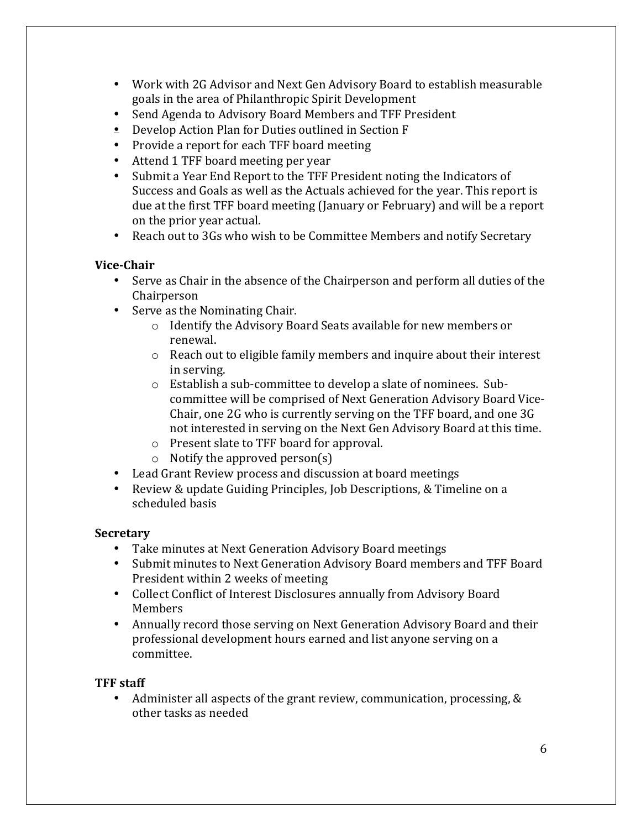- Work with 2G Advisor and Next Gen Advisory Board to establish measurable goals in the area of Philanthropic Spirit Development
- Send Agenda to Advisory Board Members and TFF President
- $\triangleq$  Develop Action Plan for Duties outlined in Section F
- Provide a report for each TFF board meeting
- Attend 1 TFF board meeting per year
- Submit a Year End Report to the TFF President noting the Indicators of Success and Goals as well as the Actuals achieved for the year. This report is due at the first TFF board meeting (January or February) and will be a report on the prior year actual.
- Reach out to 3Gs who wish to be Committee Members and notify Secretary

## **Vice-Chair**

- Serve as Chair in the absence of the Chairperson and perform all duties of the Chairperson
- Serve as the Nominating Chair.
	- $\circ$  Identify the Advisory Board Seats available for new members or renewal.
	- $\circ$  Reach out to eligible family members and inquire about their interest in serving.
	- $\circ$  Establish a sub-committee to develop a slate of nominees. Subcommittee will be comprised of Next Generation Advisory Board Vice-Chair, one 2G who is currently serving on the TFF board, and one 3G not interested in serving on the Next Gen Advisory Board at this time.
	- o Present slate to TFF board for approval.
	- $\circ$  Notify the approved person(s)
- Lead Grant Review process and discussion at board meetings
- Review & update Guiding Principles, Job Descriptions, & Timeline on a scheduled basis

## **Secretary**

- Take minutes at Next Generation Advisory Board meetings
- Submit minutes to Next Generation Advisory Board members and TFF Board President within 2 weeks of meeting
- Collect Conflict of Interest Disclosures annually from Advisory Board Members
- Annually record those serving on Next Generation Advisory Board and their professional development hours earned and list anyone serving on a committee.

## **TFF staff**

• Administer all aspects of the grant review, communication, processing, & other tasks as needed